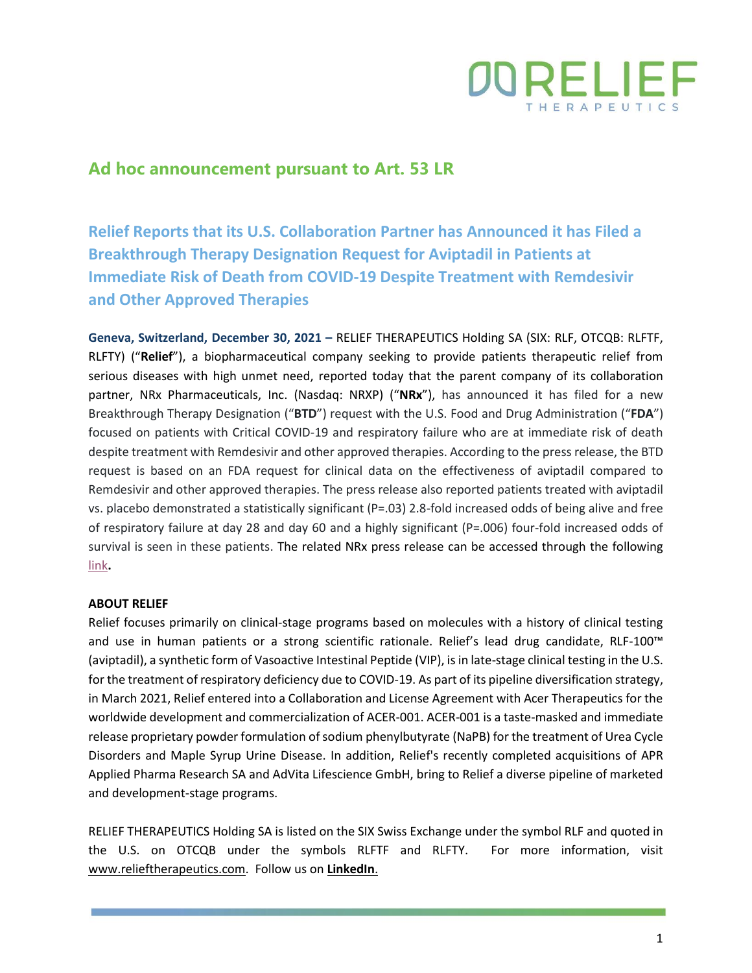

## **Ad hoc announcement pursuant to Art. 53 LR**

**Relief Reports that its U.S. Collaboration Partner has Announced it has Filed a Breakthrough Therapy Designation Request for Aviptadil in Patients at Immediate Risk of Death from COVID-19 Despite Treatment with Remdesivir and Other Approved Therapies**

**Geneva, Switzerland, December 30, 2021 –** RELIEF THERAPEUTICS Holding SA (SIX: RLF, OTCQB: RLFTF, RLFTY) ("**Relief**"), a biopharmaceutical company seeking to provide patients therapeutic relief from serious diseases with high unmet need, reported today that the parent company of its collaboration partner, NRx Pharmaceuticals, Inc. (Nasdaq: NRXP) ("**NRx**"), has announced it has filed for a new Breakthrough Therapy Designation ("**BTD**") request with the U.S. Food and Drug Administration ("**FDA**") focused on patients with Critical COVID-19 and respiratory failure who are at immediate risk of death despite treatment with Remdesivir and other approved therapies. According to the press release, the BTD request is based on an FDA request for clinical data on the effectiveness of aviptadil compared to Remdesivir and other approved therapies. The press release also reported patients treated with aviptadil vs. placebo demonstrated a statistically significant (P=.03) 2.8-fold increased odds of being alive and free of respiratory failure at day 28 and day 60 and a highly significant (P=.006) four-fold increased odds of survival is seen in these patients. The related NRx press release can be accessed through the following [link](https://www.prnewswire.com/news-releases/nrx-pharmaceuticals-files-breakthrough-therapy-designation-request-for-zyesami-aviptadil-in-patients-at-immediate-risk-of-death-from-covid-19-despite-treatment-with-remdesivir-and-other-approved-therapies-301451392.html)**.**

## **ABOUT RELIEF**

Relief focuses primarily on clinical-stage programs based on molecules with a history of clinical testing and use in human patients or a strong scientific rationale. Relief's lead drug candidate, RLF-100™ (aviptadil), a synthetic form of Vasoactive Intestinal Peptide (VIP), is in late-stage clinical testing in the U.S. for the treatment of respiratory deficiency due to COVID-19. As part of its pipeline diversification strategy, in March 2021, Relief entered into a Collaboration and License Agreement with Acer Therapeutics for the worldwide development and commercialization of ACER-001. ACER-001 is a taste-masked and immediate release proprietary powder formulation of sodium phenylbutyrate (NaPB) for the treatment of Urea Cycle Disorders and Maple Syrup Urine Disease. In addition, Relief's recently completed acquisitions of APR Applied Pharma Research SA and AdVita Lifescience GmbH, bring to Relief a diverse pipeline of marketed and development-stage programs.

RELIEF THERAPEUTICS Holding SA is listed on the SIX Swiss Exchange under the symbol RLF and quoted in the U.S. on OTCQB under the symbols RLFTF and RLFTY. For more information, visit [www.relieftherapeutics.com.](http://www.relieftherapeutics.com/) Follow us on **[LinkedIn](https://www.linkedin.com/company/relief-therapeutics-holding-sa/?viewAsMember=true)**.